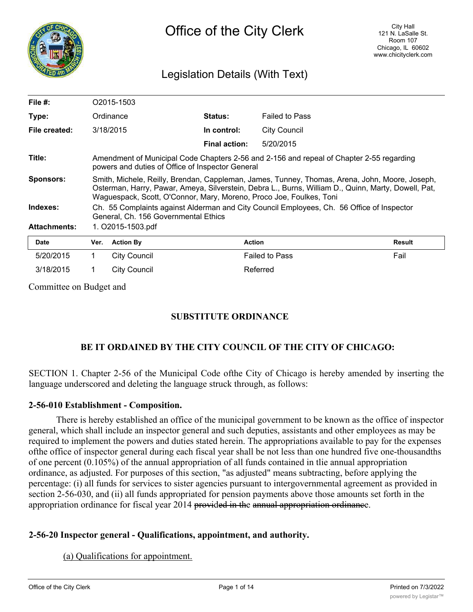

# Legislation Details (With Text)

| File $#$ :          |                                                                                                                                                                                                                                                                              | O2015-1503          |                      |                       |        |
|---------------------|------------------------------------------------------------------------------------------------------------------------------------------------------------------------------------------------------------------------------------------------------------------------------|---------------------|----------------------|-----------------------|--------|
| Type:               |                                                                                                                                                                                                                                                                              | Ordinance           | <b>Status:</b>       | <b>Failed to Pass</b> |        |
| File created:       |                                                                                                                                                                                                                                                                              | 3/18/2015           | In control:          | <b>City Council</b>   |        |
|                     |                                                                                                                                                                                                                                                                              |                     | <b>Final action:</b> | 5/20/2015             |        |
| Title:              | Amendment of Municipal Code Chapters 2-56 and 2-156 and repeal of Chapter 2-55 regarding<br>powers and duties of Office of Inspector General                                                                                                                                 |                     |                      |                       |        |
| <b>Sponsors:</b>    | Smith, Michele, Reilly, Brendan, Cappleman, James, Tunney, Thomas, Arena, John, Moore, Joseph,<br>Osterman, Harry, Pawar, Ameya, Silverstein, Debra L., Burns, William D., Quinn, Marty, Dowell, Pat,<br>Waguespack, Scott, O'Connor, Mary, Moreno, Proco Joe, Foulkes, Toni |                     |                      |                       |        |
| Indexes:            | Ch. 55 Complaints against Alderman and City Council Employees, Ch. 56 Office of Inspector<br>General, Ch. 156 Governmental Ethics                                                                                                                                            |                     |                      |                       |        |
| <b>Attachments:</b> | 1. O2015-1503.pdf                                                                                                                                                                                                                                                            |                     |                      |                       |        |
| <b>Date</b>         | Ver.                                                                                                                                                                                                                                                                         | <b>Action By</b>    | <b>Action</b>        |                       | Result |
| 5/20/2015           |                                                                                                                                                                                                                                                                              | <b>City Council</b> |                      | <b>Failed to Pass</b> | Fail   |

Committee on Budget and

# **SUBSTITUTE ORDINANCE**

# **BE IT ORDAINED BY THE CITY COUNCIL OF THE CITY OF CHICAGO:**

SECTION 1. Chapter 2-56 of the Municipal Code ofthe City of Chicago is hereby amended by inserting the language underscored and deleting the language struck through, as follows:

### **2-56-010 Establishment - Composition.**

There is hereby established an office of the municipal government to be known as the office of inspector general, which shall include an inspector general and such deputies, assistants and other employees as may be required to implement the powers and duties stated herein. The appropriations available to pay for the expenses ofthe office of inspector general during each fiscal year shall be not less than one hundred five one-thousandths of one percent (0.105%) of the annual appropriation of all funds contained in tlie annual appropriation ordinance, as adjusted. For purposes of this section, "as adjusted" means subtracting, before applying the percentage: (i) all funds for services to sister agencies pursuant to intergovernmental agreement as provided in section 2-56-030, and (ii) all funds appropriated for pension payments above those amounts set forth in the appropriation ordinance for fiscal year 2014 provided in the annual appropriation ordinance.

### **2-56-20 Inspector general - Qualifications, appointment, and authority.**

3/18/2015 1 City Council Referred

(a) Qualifications for appointment.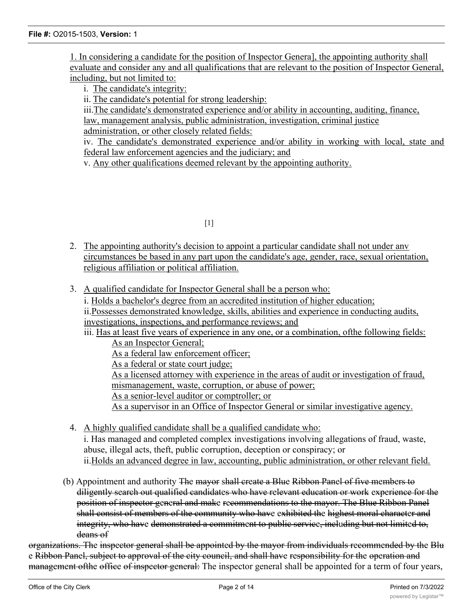1. In considering a candidate for the position of Inspector Genera], the appointing authority shall evaluate and consider any and all qualifications that are relevant to the position of Inspector General, including, but not limited to:

i. The candidate's integrity:

ii. The candidate's potential for strong leadership:

iii.The candidate's demonstrated experience and/or ability in accounting, auditing, finance, law, management analysis, public administration, investigation, criminal justice administration, or other closely related fields:

iv. The candidate's demonstrated experience and/or ability in working with local, state and federal law enforcement agencies and the judiciary; and

v. Any other qualifications deemed relevant by the appointing authority.

 $[1]$ 

- 2. The appointing authority's decision to appoint a particular candidate shall not under anv circumstances be based in any part upon the candidate's age, gender, race, sexual orientation, religious affiliation or political affiliation.
- 3. A qualified candidate for Inspector General shall be a person who:

i. Holds a bachelor's degree from an accredited institution of higher education;

ii.Possesses demonstrated knowledge, skills, abilities and experience in conducting audits, investigations, inspections, and performance reviews; and

iii. Has at least five years of experience in any one, or a combination, of the following fields: As an Inspector General;

As a federal law enforcement officer;

As a federal or state court judge;

As a licensed attorney with experience in the areas of audit or investigation of fraud, mismanagement, waste, corruption, or abuse of power;

As a senior-level auditor or comptroller; or

As a supervisor in an Office of Inspector General or similar investigative agency.

4. A highly qualified candidate shall be a qualified candidate who:

i. Has managed and completed complex investigations involving allegations of fraud, waste, abuse, illegal acts, theft, public corruption, deception or conspiracy; or ii.Holds an advanced degree in law, accounting, public administration, or other relevant field.

(b) Appointment and authority The mayor shall create a Blue Ribbon Panel of five members to diligently search out qualified candidates who have relevant education or work experience for the position of inspector general and make recommendations to the mayor. The Blue Ribbon Panel shall consist of members of the community who have exhibited the highest moral character and integrity, who have demonstrated a commitment to public service, including but not limited to, deans of

organizations. The inspector general shall be appointed by the mayor from individuals recommended by the Blu e Ribbon Panel, subject to approval of the city council, and shall have responsibility for the operation and management of the office of inspector general: The inspector general shall be appointed for a term of four years,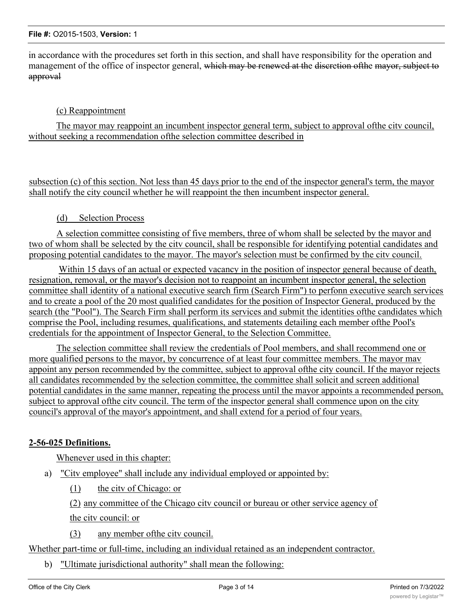in accordance with the procedures set forth in this section, and shall have responsibility for the operation and management of the office of inspector general, which may be renewed at the discretion of the mayor, subject to approval

## (c) Reappointment

The mayor may reappoint an incumbent inspector general term, subject to approval ofthe citv council, without seeking a recommendation ofthe selection committee described in

subsection (c) of this section. Not less than 45 days prior to the end of the inspector general's term, the mayor shall notify the city council whether he will reappoint the then incumbent inspector general.

### (d) Selection Process

A selection committee consisting of five members, three of whom shall be selected by the mayor and two of whom shall be selected by the citv council, shall be responsible for identifying potential candidates and proposing potential candidates to the mayor. The mayor's selection must be confirmed by the citv council.

Within 15 days of an actual or expected vacancy in the position of inspector general because of death, resignation, removal, or the mayor's decision not to reappoint an incumbent inspector general, the selection committee shall identity of a national executive search firm (Search Firm") to perfonn executive search services and to create a pool of the 20 most qualified candidates for the position of Inspector General, produced by the search (the "Pool"). The Search Firm shall perform its services and submit the identities ofthe candidates which comprise the Pool, including resumes, qualifications, and statements detailing each member ofthe Pool's credentials for the appointment of Inspector General, to the Selection Committee.

The selection committee shall review the credentials of Pool members, and shall recommend one or more qualified persons to the mayor, by concurrence of at least four committee members. The mayor mav appoint any person recommended by the committee, subject to approval ofthe city council. If the mayor rejects all candidates recommended by the selection committee, the committee shall solicit and screen additional potential candidates in the same manner, repeating the process until the mayor appoints a recommended person, subject to approval ofthe citv council. The term of the inspector general shall commence upon on the city council's approval of the mayor's appointment, and shall extend for a period of four years.

### **2-56-025 Definitions.**

Whenever used in this chapter:

- a) "Citv employee" shall include any individual employed or appointed by:
	- (1) the citv of Chicago: or

(2) any committee of the Chicago citv council or bureau or other service agency of the citv council: or

(3) any member ofthe citv council.

Whether part-time or full-time, including an individual retained as an independent contractor.

b) "Ultimate jurisdictional authority" shall mean the following: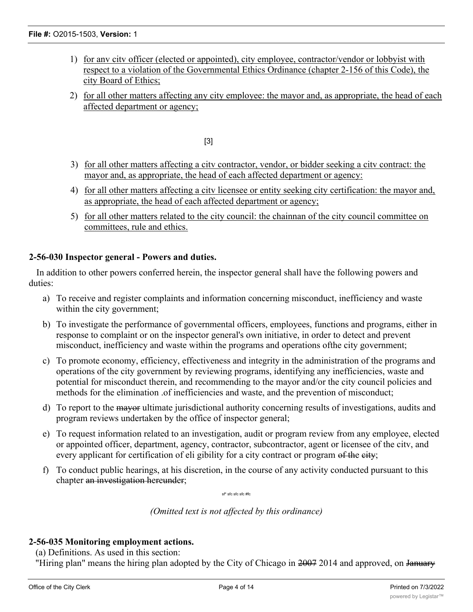- 1) for anv citv officer (elected or appointed), city employee, contractor/vendor or lobbyist with respect to a violation of the Governmental Ethics Ordinance (chapter 2-156 of this Code), the city Board of Ethics;
- 2) for all other matters affecting any city employee: the mayor and, as appropriate, the head of each affected department or agency;

[3]

- 3) for all other matters affecting a citv contractor, vendor, or bidder seeking a citv contract: the mayor and, as appropriate, the head of each affected department or agency:
- 4) for all other matters affecting a citv licensee or entity seeking city certification: the mayor and, as appropriate, the head of each affected department or agency;
- 5) for all other matters related to the city council: the chainnan of the city council committee on committees, rule and ethics.

## **2-56-030 Inspector general - Powers and duties.**

In addition to other powers conferred herein, the inspector general shall have the following powers and duties:

- a) To receive and register complaints and information concerning misconduct, inefficiency and waste within the city government;
- b) To investigate the performance of governmental officers, employees, functions and programs, either in response to complaint or on the inspector general's own initiative, in order to detect and prevent misconduct, inefficiency and waste within the programs and operations ofthe city government;
- c) To promote economy, efficiency, effectiveness and integrity in the administration of the programs and operations of the city government by reviewing programs, identifying any inefficiencies, waste and potential for misconduct therein, and recommending to the mayor and/or the city council policies and methods for the elimination .of inefficiencies and waste, and the prevention of misconduct;
- d) To report to the mayor ultimate jurisdictional authority concerning results of investigations, audits and program reviews undertaken by the office of inspector general;
- e) To request information related to an investigation, audit or program review from any employee, elected or appointed officer, department, agency, contractor, subcontractor, agent or licensee of the citv, and every applicant for certification of eli gibility for a city contract or program of the eity;
- f) To conduct public hearings, at his discretion, in the course of any activity conducted pursuant to this chapter an investigation hereunder;

sf\* sfc sfc sfc #fc

*(Omitted text is not affected by this ordinance)*

# **2-56-035 Monitoring employment actions.**

(a) Definitions. As used in this section:

"Hiring plan" means the hiring plan adopted by the City of Chicago in 2007 2014 and approved, on January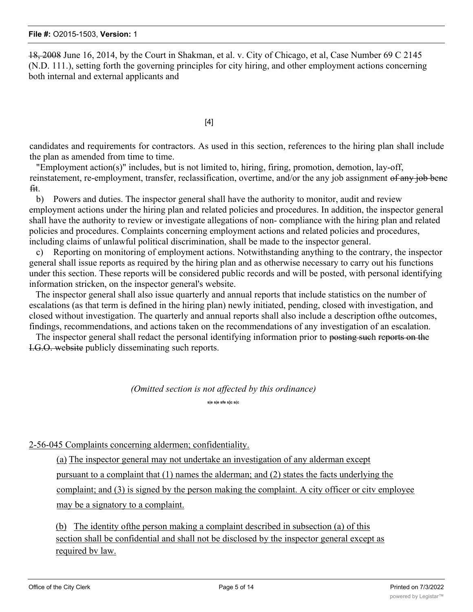18, 2008 June 16, 2014, by the Court in Shakman, et al. v. City of Chicago, et al, Case Number 69 C 2145 (N.D. 111.), setting forth the governing principles for city hiring, and other employment actions concerning both internal and external applicants and

[4]

candidates and requirements for contractors. As used in this section, references to the hiring plan shall include the plan as amended from time to time.

"Employment action(s)" includes, but is not limited to, hiring, firing, promotion, demotion, lay-off, reinstatement, re-employment, transfer, reclassification, overtime, and/or the any job assignment of any job bene fit.

b) Powers and duties. The inspector general shall have the authority to monitor, audit and review employment actions under the hiring plan and related policies and procedures. In addition, the inspector general shall have the authority to review or investigate allegations of non- compliance with the hiring plan and related policies and procedures. Complaints concerning employment actions and related policies and procedures, including claims of unlawful political discrimination, shall be made to the inspector general.

c) Reporting on monitoring of employment actions. Notwithstanding anything to the contrary, the inspector general shall issue reports as required by the hiring plan and as otherwise necessary to carry out his functions under this section. These reports will be considered public records and will be posted, with personal identifying information stricken, on the inspector general's website.

The inspector general shall also issue quarterly and annual reports that include statistics on the number of escalations (as that term is defined in the hiring plan) newly initiated, pending, closed with investigation, and closed without investigation. The quarterly and annual reports shall also include a description ofthe outcomes, findings, recommendations, and actions taken on the recommendations of any investigation of an escalation.

The inspector general shall redact the personal identifying information prior to posting such reports on the I.G.O. website publicly disseminating such reports.

*(Omitted section is not affected by this ordinance)*

**s|e s|e sfe s]c s(c**

2-56-045 Complaints concerning aldermen; confidentiality.

(a) The inspector general may not undertake an investigation of any alderman except pursuant to a complaint that  $(1)$  names the alderman; and  $(2)$  states the facts underlying the complaint; and (3) is signed by the person making the complaint. A city officer or citv employee may be a signatory to a complaint.

(b) The identity ofthe person making a complaint described in subsection (a) of this section shall be confidential and shall not be disclosed by the inspector general except as required bv law.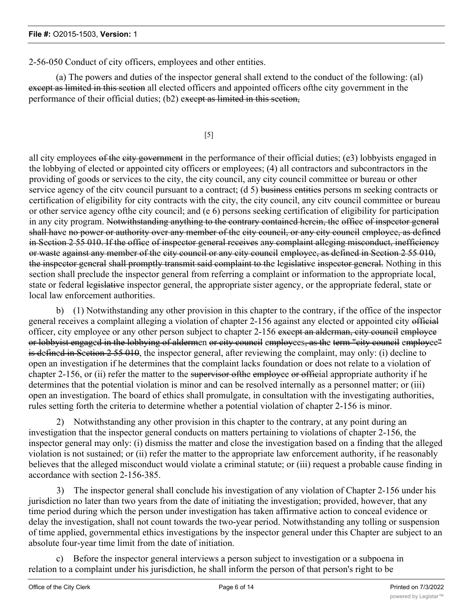2-56-050 Conduct of city officers, employees and other entities.

(a) The powers and duties of the inspector general shall extend to the conduct of the following: (al) except as limited in this section all elected officers and appointed officers of the city government in the performance of their official duties; (b2) exeept as limited in this section,

[5]

all city employees of the city government in the performance of their official duties; (e3) lobbyists engaged in the lobbying of elected or appointed city officers or employees; (4) all contractors and subcontractors in the providing of goods or services to the city, the city council, any city council committee or bureau or other service agency of the city council pursuant to a contract; (d 5) business entities persons m seeking contracts or certification of eligibility for city contracts with the city, the city council, any citv council committee or bureau or other service agency ofthe city council; and (e 6) persons seeking certification of eligibility for participation in any city program. Notwithstanding anything to the contrary contained herein, the office of inspector general shall have no power or authority over any member of the city council, or any city council employee, as defined in Section 2 55 010. If the office of inspector general receives any complaint alleging misconduct, inefficiency or waste against any member of the city council or any city council employee, as defined in Section 2 55 010, the inspector general shall promptly transmit said complaint to the legislative inspector general. Nothing in this section shall preclude the inspector general from referring a complaint or information to the appropriate local, state or federal legislative inspector general, the appropriate sister agency, or the appropriate federal, state or local law enforcement authorities.

b) (1) Notwithstanding any other provision in this chapter to the contrary, if the office of the inspector general receives a complaint alleging a violation of chapter 2-156 against any elected or appointed city official officer, city employee or any other person subject to chapter 2-156 except an alderman, city council employee or lobbyist engaged in the lobbying of aldermen or city council employees, as the term "city council employee" is defined in Section 2 55 010, the inspector general, after reviewing the complaint, may only: (i) decline to open an investigation if he determines that the complaint lacks foundation or does not relate to a violation of chapter 2-156, or (ii) refer the matter to the supervisor of the employee or official appropriate authority if he determines that the potential violation is minor and can be resolved internally as a personnel matter; or (iii) open an investigation. The board of ethics shall promulgate, in consultation with the investigating authorities, rules setting forth the criteria to determine whether a potential violation of chapter 2-156 is minor.

2) Notwithstanding any other provision in this chapter to the contrary, at any point during an investigation that the inspector general conducts on matters pertaining to violations of chapter 2-156, the inspector general may only: (i) dismiss the matter and close the investigation based on a finding that the alleged violation is not sustained; or (ii) refer the matter to the appropriate law enforcement authority, if he reasonably believes that the alleged misconduct would violate a criminal statute; or (iii) request a probable cause finding in accordance with section 2-156-385.

3) The inspector general shall conclude his investigation of any violation of Chapter 2-156 under his jurisdiction no later than two years from the date of initiating the investigation; provided, however, that any time period during which the person under investigation has taken affirmative action to conceal evidence or delay the investigation, shall not count towards the two-year period. Notwithstanding any tolling or suspension of time applied, governmental ethics investigations by the inspector general under this Chapter are subject to an absolute four-year time limit from the date of initiation.

c) Before the inspector general interviews a person subject to investigation or a subpoena in relation to a complaint under his jurisdiction, he shall inform the person of that person's right to be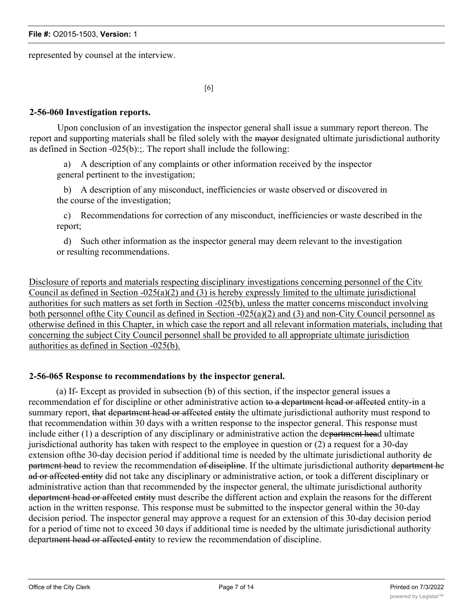represented by counsel at the interview.

[6]

### **2-56-060 Investigation reports.**

Upon conclusion of an investigation the inspector general shall issue a summary report thereon. The report and supporting materials shall be filed solely with the mayor designated ultimate jurisdictional authority as defined in Section -025(b):;. The report shall include the following:

a) A description of any complaints or other information received by the inspector general pertinent to the investigation;

b) A description of any misconduct, inefficiencies or waste observed or discovered in the course of the investigation;

c) Recommendations for correction of any misconduct, inefficiencies or waste described in the report;

d) Such other information as the inspector general may deem relevant to the investigation or resulting recommendations.

Disclosure of reports and materials respecting disciplinary investigations concerning personnel of the Citv Council as defined in Section -025(a)(2) and (3) is hereby expressly limited to the ultimate jurisdictional authorities for such matters as set forth in Section -025(b), unless the matter concerns misconduct involving both personnel ofthe City Council as defined in Section -025(a)(2) and (3) and non-City Council personnel as otherwise defined in this Chapter, in which case the report and all relevant information materials, including that concerning the subject City Council personnel shall be provided to all appropriate ultimate jurisdiction authorities as defined in Section -025(b).

### **2-56-065 Response to recommendations by the inspector general.**

(a) If- Except as provided in subsection (b) of this section, if the inspector general issues a recommendation ef for discipline or other administrative action to a department head or affected entity-in a summary report, that department head or affected entity the ultimate jurisdictional authority must respond to that recommendation within 30 days with a written response to the inspector general. This response must include either (1) a description of any disciplinary or administrative action the department head ultimate jurisdictional authority has taken with respect to the employee in question or (2) a request for a 30-day extension ofthe 30-day decision period if additional time is needed by the ultimate jurisdictional authority de partment head to review the recommendation of discipline. If the ultimate jurisdictional authority department he ad or affected entity did not take any disciplinary or administrative action, or took a different disciplinary or administrative action than that recommended by the inspector general, the ultimate jurisdictional authority department head or affected entity must describe the different action and explain the reasons for the different action in the written response. This response must be submitted to the inspector general within the 30-day decision period. The inspector general may approve a request for an extension of this 30-day decision period for a period of time not to exceed 30 days if additional time is needed by the ultimate jurisdictional authority department head or affected entity to review the recommendation of discipline.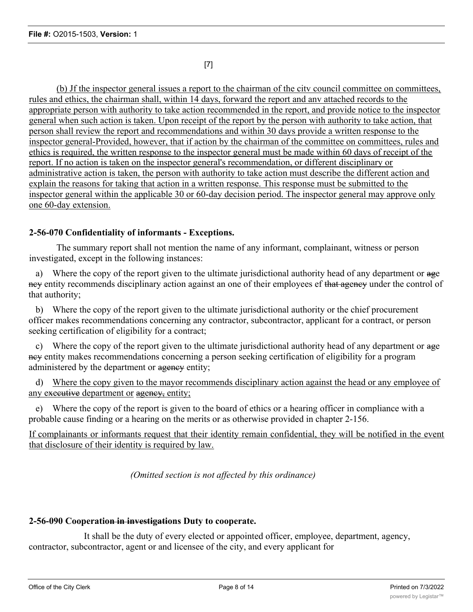[7]

(b) Jf the inspector general issues a report to the chairman of the citv council committee on committees, rules and ethics, the chairman shall, within 14 days, forward the report and anv attached records to the appropriate person with authority to take action recommended in the report, and provide notice to the inspector general when such action is taken. Upon receipt of the report by the person with authority to take action, that person shall review the report and recommendations and within 30 days provide a written response to the inspector general-Provided, however, that if action by the chairman of the committee on committees, rules and ethics is required, the written response to the inspector general must be made within 60 days of receipt of the report. If no action is taken on the inspector general's recommendation, or different disciplinary or administrative action is taken, the person with authority to take action must describe the different action and explain the reasons for taking that action in a written response. This response must be submitted to the inspector general within the applicable 30 or 60-day decision period. The inspector general may approve only one 60-day extension.

# **2-56-070 Confidentiality of informants - Exceptions.**

The summary report shall not mention the name of any informant, complainant, witness or person investigated, except in the following instances:

a) Where the copy of the report given to the ultimate jurisdictional authority head of any department or age ney entity recommends disciplinary action against an one of their employees ef that ageney under the control of that authority;

b) Where the copy of the report given to the ultimate jurisdictional authority or the chief procurement officer makes recommendations concerning any contractor, subcontractor, applicant for a contract, or person seeking certification of eligibility for a contract;

c) Where the copy of the report given to the ultimate jurisdictional authority head of any department or age ney entity makes recommendations concerning a person seeking certification of eligibility for a program administered by the department or agency entity;

d) Where the copy given to the mayor recommends disciplinary action against the head or any employee of any executive department or agency, entity;

e) Where the copy of the report is given to the board of ethics or a hearing officer in compliance with a probable cause finding or a hearing on the merits or as otherwise provided in chapter 2-156.

If complainants or informants request that their identity remain confidential, they will be notified in the event that disclosure of their identity is required by law.

*(Omitted section is not affected by this ordinance)*

### **2-56-090 Cooperation in investigations Duty to cooperate.**

It shall be the duty of every elected or appointed officer, employee, department, agency, contractor, subcontractor, agent or and licensee of the city, and every applicant for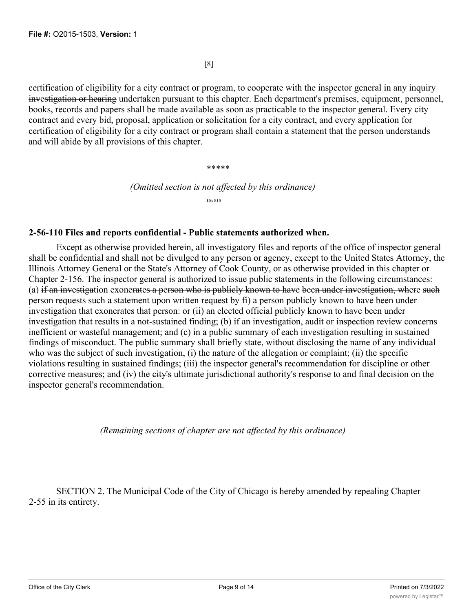[8]

certification of eligibility for a city contract or program, to cooperate with the inspector general in any inquiry investigation or hearing undertaken pursuant to this chapter. Each department's premises, equipment, personnel, books, records and papers shall be made available as soon as practicable to the inspector general. Every city contract and every bid, proposal, application or solicitation for a city contract, and every application for certification of eligibility for a city contract or program shall contain a statement that the person understands and will abide by all provisions of this chapter.

\*\*\*\*\*

*(Omitted section is not affected by this ordinance)* **\$ ]{c \$ \$ \$**

#### **2-56-110 Files and reports confidential - Public statements authorized when.**

Except as otherwise provided herein, all investigatory files and reports of the office of inspector general shall be confidential and shall not be divulged to any person or agency, except to the United States Attorney, the Illinois Attorney General or the State's Attorney of Cook County, or as otherwise provided in this chapter or Chapter 2-156. The inspector general is authorized to issue public statements in the following circumstances: (a) if an investigation exonerates a person who is publicly known to have been under investigation, where such person requests such a statement upon written request by fi) a person publicly known to have been under investigation that exonerates that person: or (ii) an elected official publicly known to have been under investigation that results in a not-sustained finding; (b) if an investigation, audit or inspection review concerns inefficient or wasteful management; and (c) in a public summary of each investigation resulting in sustained findings of misconduct. The public summary shall briefly state, without disclosing the name of any individual who was the subject of such investigation, (i) the nature of the allegation or complaint; (ii) the specific violations resulting in sustained findings; (iii) the inspector general's recommendation for discipline or other corrective measures; and (iv) the eity's ultimate jurisdictional authority's response to and final decision on the inspector general's recommendation.

*(Remaining sections of chapter are not affected by this ordinance)*

SECTION 2. The Municipal Code of the City of Chicago is hereby amended by repealing Chapter 2-55 in its entirety.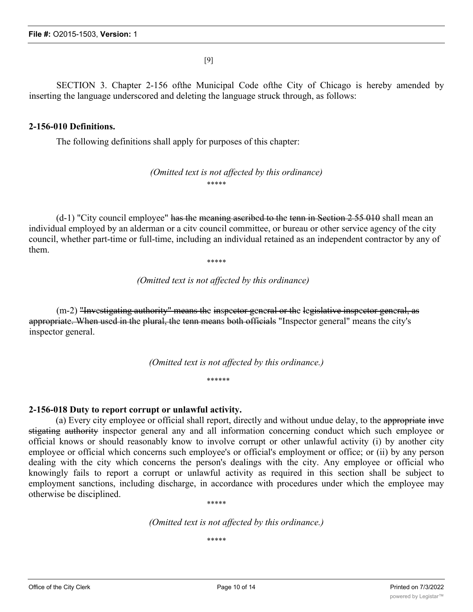[9]

SECTION 3. Chapter 2-156 ofthe Municipal Code ofthe City of Chicago is hereby amended by inserting the language underscored and deleting the language struck through, as follows:

#### **2-156-010 Definitions.**

The following definitions shall apply for purposes of this chapter:

*(Omitted text is not affected by this ordinance)* \*\*\*\*\*

 $(d-1)$  "City council employee" has the meaning ascribed to the tenn in Section 2 55 010 shall mean an individual employed by an alderman or a citv council committee, or bureau or other service agency of the city council, whether part-time or full-time, including an individual retained as an independent contractor by any of them.

\*\*\*\*\*

*(Omitted text is not affected by this ordinance)*

(m-2) "Investigating authority" means the inspector general or the legislative inspector general, as appropriate. When used in the plural, the tenn means both officials "Inspector general" means the city's inspector general.

*(Omitted text is not affected by this ordinance.)*

\*\*\*\*\*\*

### **2-156-018 Duty to report corrupt or unlawful activity.**

(a) Every city employee or official shall report, directly and without undue delay, to the appropriate inve stigating authority inspector general any and all information concerning conduct which such employee or official knows or should reasonably know to involve corrupt or other unlawful activity (i) by another city employee or official which concerns such employee's or official's employment or office; or (ii) by any person dealing with the city which concerns the person's dealings with the city. Any employee or official who knowingly fails to report a corrupt or unlawful activity as required in this section shall be subject to employment sanctions, including discharge, in accordance with procedures under which the employee may otherwise be disciplined.

\*\*\*\*\*

*(Omitted text is not affected by this ordinance.)*

\*\*\*\*\*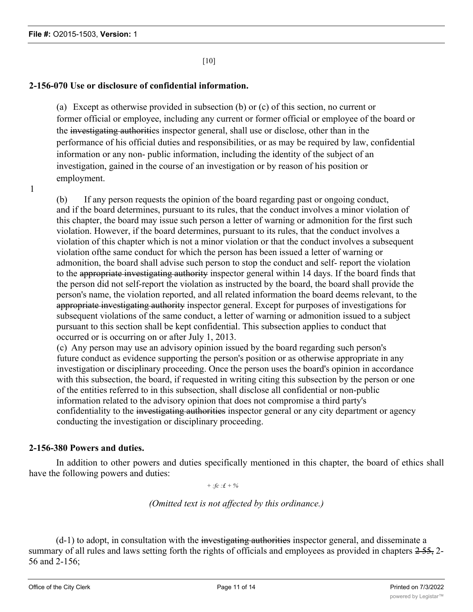1

[10]

# **2-156-070 Use or disclosure of confidential information.**

(a) Except as otherwise provided in subsection (b) or (c) of this section, no current or former official or employee, including any current or former official or employee of the board or the investigating authorities inspector general, shall use or disclose, other than in the performance of his official duties and responsibilities, or as may be required by law, confidential information or any non- public information, including the identity of the subject of an investigation, gained in the course of an investigation or by reason of his position or employment.

(b) If any person requests the opinion of the board regarding past or ongoing conduct, and if the board determines, pursuant to its rules, that the conduct involves a minor violation of this chapter, the board may issue such person a letter of warning or admonition for the first such violation. However, if the board determines, pursuant to its rules, that the conduct involves a violation of this chapter which is not a minor violation or that the conduct involves a subsequent violation ofthe same conduct for which the person has been issued a letter of warning or admonition, the board shall advise such person to stop the conduct and self- report the violation to the appropriate investigating authority inspector general within 14 days. If the board finds that the person did not self-report the violation as instructed by the board, the board shall provide the person's name, the violation reported, and all related information the board deems relevant, to the appropriate investigating authority inspector general. Except for purposes of investigations for subsequent violations of the same conduct, a letter of warning or admonition issued to a subject pursuant to this section shall be kept confidential. This subsection applies to conduct that occurred or is occurring on or after July 1, 2013.

(c) Any person may use an advisory opinion issued by the board regarding such person's future conduct as evidence supporting the person's position or as otherwise appropriate in any investigation or disciplinary proceeding. Once the person uses the board's opinion in accordance with this subsection, the board, if requested in writing citing this subsection by the person or one of the entities referred to in this subsection, shall disclose all confidential or non-public information related to the advisory opinion that does not compromise a third party's confidentiality to the investigating authorities inspector general or any city department or agency conducting the investigation or disciplinary proceeding.

# **2-156-380 Powers and duties.**

In addition to other powers and duties specifically mentioned in this chapter, the board of ethics shall have the following powers and duties:

*+ :fc :£ + %*

*(Omitted text is not affected by this ordinance.)*

 $(d-1)$  to adopt, in consultation with the investigating authorities inspector general, and disseminate a summary of all rules and laws setting forth the rights of officials and employees as provided in chapters 255, 2-56 and 2-156;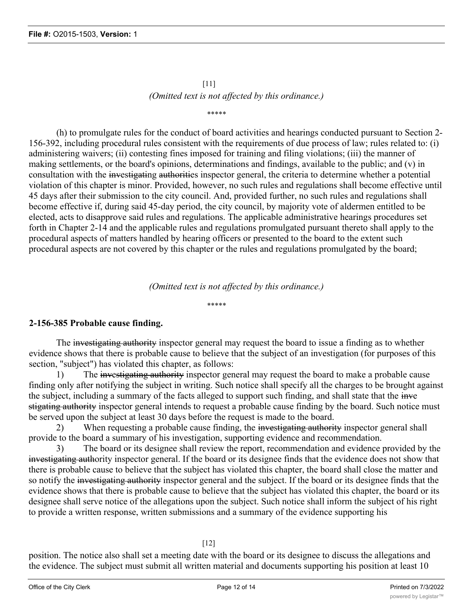# [11] *(Omitted text is not affected by this ordinance.)*

#### \*\*\*\*\*

(h) to promulgate rules for the conduct of board activities and hearings conducted pursuant to Section 2- 156-392, including procedural rules consistent with the requirements of due process of law; rules related to: (i) administering waivers; (ii) contesting fines imposed for training and filing violations; (iii) the manner of making settlements, or the board's opinions, determinations and findings, available to the public; and (v) in consultation with the investigating authorities inspector general, the criteria to determine whether a potential violation of this chapter is minor. Provided, however, no such rules and regulations shall become effective until 45 days after their submission to the city council. And, provided further, no such rules and regulations shall become effective if, during said 45-day period, the city council, by majority vote of aldermen entitled to be elected, acts to disapprove said rules and regulations. The applicable administrative hearings procedures set forth in Chapter 2-14 and the applicable rules and regulations promulgated pursuant thereto shall apply to the procedural aspects of matters handled by hearing officers or presented to the board to the extent such procedural aspects are not covered by this chapter or the rules and regulations promulgated by the board;

*(Omitted text is not affected by this ordinance.)*

#### \*\*\*\*\*

# **2-156-385 Probable cause finding.**

The investigating authority inspector general may request the board to issue a finding as to whether evidence shows that there is probable cause to believe that the subject of an investigation (for purposes of this section, "subject") has violated this chapter, as follows:

1) The investigating authority inspector general may request the board to make a probable cause finding only after notifying the subject in writing. Such notice shall specify all the charges to be brought against the subject, including a summary of the facts alleged to support such finding, and shall state that the inve stigating authority inspector general intends to request a probable cause finding by the board. Such notice must be served upon the subject at least 30 days before the request is made to the board.

2) When requesting a probable cause finding, the investigating authority inspector general shall provide to the board a summary of his investigation, supporting evidence and recommendation.

3) The board or its designee shall review the report, recommendation and evidence provided by the investigating authority inspector general. If the board or its designee finds that the evidence does not show that there is probable cause to believe that the subject has violated this chapter, the board shall close the matter and so notify the investigating authority inspector general and the subject. If the board or its designee finds that the evidence shows that there is probable cause to believe that the subject has violated this chapter, the board or its designee shall serve notice of the allegations upon the subject. Such notice shall inform the subject of his right to provide a written response, written submissions and a summary of the evidence supporting his

#### [12]

position. The notice also shall set a meeting date with the board or its designee to discuss the allegations and the evidence. The subject must submit all written material and documents supporting his position at least 10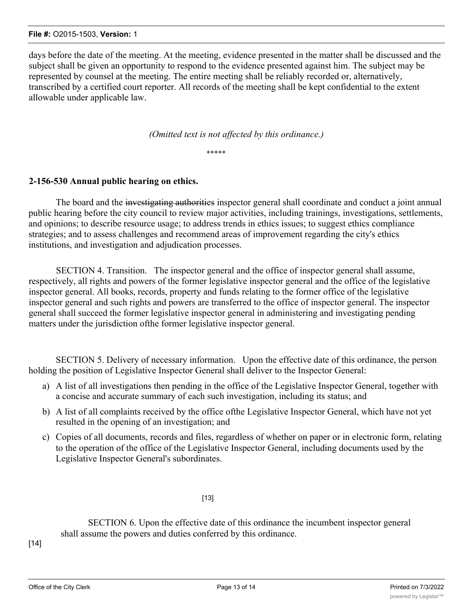#### **File #:** O2015-1503, **Version:** 1

days before the date of the meeting. At the meeting, evidence presented in the matter shall be discussed and the subject shall be given an opportunity to respond to the evidence presented against him. The subject may be represented by counsel at the meeting. The entire meeting shall be reliably recorded or, alternatively, transcribed by a certified court reporter. All records of the meeting shall be kept confidential to the extent allowable under applicable law.

*(Omitted text is not affected by this ordinance.)*

\*\*\*\*\*

### **2-156-530 Annual public hearing on ethics.**

The board and the investigating authorities inspector general shall coordinate and conduct a joint annual public hearing before the city council to review major activities, including trainings, investigations, settlements, and opinions; to describe resource usage; to address trends in ethics issues; to suggest ethics compliance strategies; and to assess challenges and recommend areas of improvement regarding the city's ethics institutions, and investigation and adjudication processes.

SECTION 4. Transition. The inspector general and the office of inspector general shall assume, respectively, all rights and powers of the former legislative inspector general and the office of the legislative inspector general. All books, records, property and funds relating to the former office of the legislative inspector general and such rights and powers are transferred to the office of inspector general. The inspector general shall succeed the former legislative inspector general in administering and investigating pending matters under the jurisdiction ofthe former legislative inspector general.

SECTION 5. Delivery of necessary information. Upon the effective date of this ordinance, the person holding the position of Legislative Inspector General shall deliver to the Inspector General:

- a) A list of all investigations then pending in the office of the Legislative Inspector General, together with a concise and accurate summary of each such investigation, including its status; and
- b) A list of all complaints received by the office ofthe Legislative Inspector General, which have not yet resulted in the opening of an investigation; and
- c) Copies of all documents, records and files, regardless of whether on paper or in electronic form, relating to the operation of the office of the Legislative Inspector General, including documents used by the Legislative Inspector General's subordinates.

[13]

SECTION 6. Upon the effective date of this ordinance the incumbent inspector general shall assume the powers and duties conferred by this ordinance.

[14]